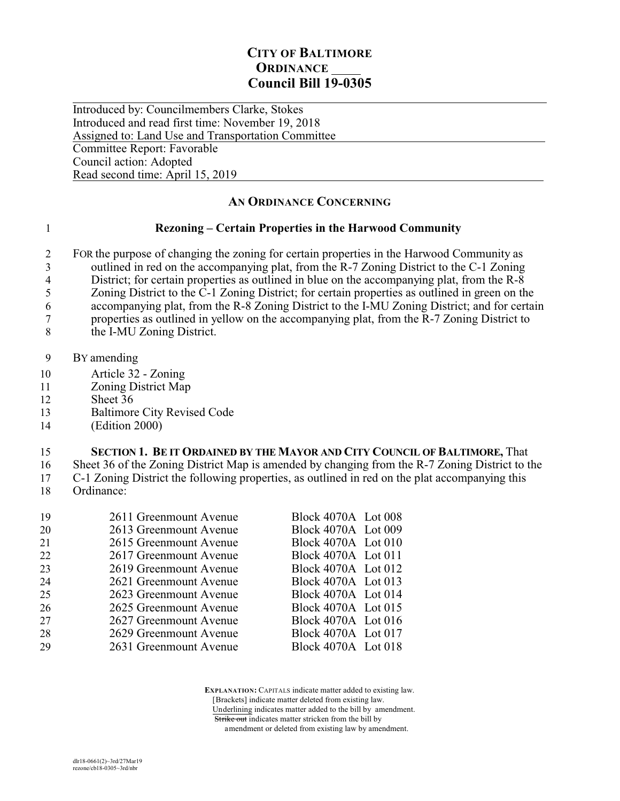# **CITY OF BALTIMORE ORDINANCE Council Bill 19-0305**

 $\overline{a}$ Introduced by: Councilmembers Clarke, Stokes Introduced and read first time: November 19, 2018 Assigned to: Land Use and Transportation Committee Committee Report: Favorable Council action: Adopted Read second time: April 15, 2019

# **AN ORDINANCE CONCERNING**

### 1 **Rezoning – Certain Properties in the Harwood Community**

2 FOR the purpose of changing the zoning for certain properties in the Harwood Community as 3 outlined in red on the accompanying plat, from the R-7 Zoning District to the C-1 Zoning<br>4 District: for certain properties as outlined in blue on the accompanying plat, from the R-8 4 District; for certain properties as outlined in blue on the accompanying plat, from the  $R-\overline{8}$ <br>5 Zoning District to the C-1 Zoning District; for certain properties as outlined in green on th 5 Zoning District to the C-1 Zoning District; for certain properties as outlined in green on the accompanying plat, from the R-8 Zoning District to the I-MU Zoning District; and for certain

6 accompanying plat, from the R-8 Zoning District to the I-MU Zoning District; and for certain<br>
7 properties as outlined in yellow on the accompanying plat, from the R-7 Zoning District to 7 properties as outlined in yellow on the accompanying plat, from the R-7 Zoning District to

- 8 the I-MU Zoning District.
- 9 BY amending
- 10 Article 32 Zoning
- 11 Zoning District Map
- 12 Sheet 36
- 13 Baltimore City Revised Code
- 14 (Edition 2000)

## 15 **SECTION 1. BE IT ORDAINED BY THE MAYOR AND CITY COUNCIL OF BALTIMORE,** That

16 Sheet 36 of the Zoning District Map is amended by changing from the R-7 Zoning District to the

17 C-1 Zoning District the following properties, as outlined in red on the plat accompanying this 18 Ordinance:

| 19 | 2611 Greenmount Avenue | <b>Block 4070A</b> Lot 008 |  |
|----|------------------------|----------------------------|--|
| 20 | 2613 Greenmount Avenue | Block 4070A Lot 009        |  |
| 21 | 2615 Greenmount Avenue | Block 4070A Lot 010        |  |
| 22 | 2617 Greenmount Avenue | Block 4070A Lot 011        |  |
| 23 | 2619 Greenmount Avenue | Block 4070A Lot 012        |  |
| 24 | 2621 Greenmount Avenue | Block 4070A Lot 013        |  |
| 25 | 2623 Greenmount Avenue | Block 4070A Lot 014        |  |
| 26 | 2625 Greenmount Avenue | Block 4070A Lot 015        |  |
| 27 | 2627 Greenmount Avenue | Block 4070A Lot 016        |  |
| 28 | 2629 Greenmount Avenue | Block 4070A Lot 017        |  |
| 29 | 2631 Greenmount Avenue | Block 4070A Lot 018        |  |
|    |                        |                            |  |

 **EXPLANATION:** CAPITALS indicate matter added to existing law. [Brackets] indicate matter deleted from existing law.

Underlining indicates matter added to the bill by amendment.

Strike out indicates matter stricken from the bill by amendment or deleted from existing law by amendment.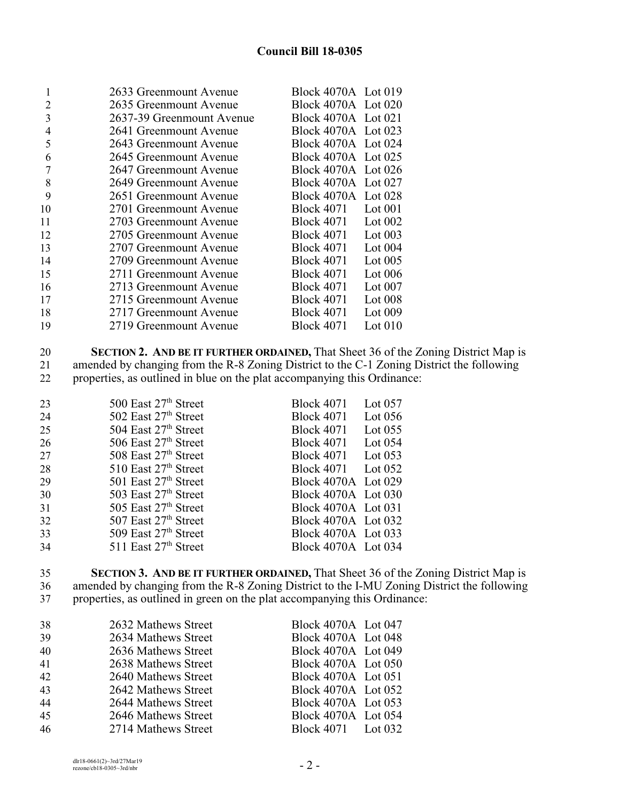# **Council Bill 18-0305**

| 1  | 2633 Greenmount Avenue    | Block 4070A Lot 019 |           |
|----|---------------------------|---------------------|-----------|
| 2  | 2635 Greenmount Avenue    | Block 4070A Lot 020 |           |
| 3  | 2637-39 Greenmount Avenue | Block 4070A Lot 021 |           |
| 4  | 2641 Greenmount Avenue    | Block 4070A Lot 023 |           |
| 5  | 2643 Greenmount Avenue    | Block 4070A Lot 024 |           |
| 6  | 2645 Greenmount Avenue    | Block 4070A Lot 025 |           |
|    | 2647 Greenmount Avenue    | Block 4070A Lot 026 |           |
| 8  | 2649 Greenmount Avenue    | Block 4070A Lot 027 |           |
| 9  | 2651 Greenmount Avenue    | Block 4070A Lot 028 |           |
| 10 | 2701 Greenmount Avenue    | <b>Block 4071</b>   | Lot $001$ |
| 11 | 2703 Greenmount Avenue    | Block 4071          | Lot $002$ |
| 12 | 2705 Greenmount Avenue    | <b>Block 4071</b>   | Lot $003$ |
| 13 | 2707 Greenmount Avenue    | <b>Block 4071</b>   | Lot $004$ |
| 14 | 2709 Greenmount Avenue    | <b>Block 4071</b>   | Lot $005$ |
| 15 | 2711 Greenmount Avenue    | <b>Block 4071</b>   | Lot $006$ |
| 16 | 2713 Greenmount Avenue    | <b>Block 4071</b>   | Lot $007$ |
| 17 | 2715 Greenmount Avenue    | <b>Block 4071</b>   | Lot $008$ |
| 18 | 2717 Greenmount Avenue    | <b>Block 4071</b>   | Lot $009$ |
| 19 | 2719 Greenmount Avenue    | <b>Block 4071</b>   | Lot $010$ |
|    |                           |                     |           |

 **SECTION 2. AND BE IT FURTHER ORDAINED,** That Sheet 36 of the Zoning District Map is 21 amended by changing from the R-8 Zoning District to the C-1 Zoning District the following<br>22 properties, as outlined in blue on the plat accompanying this Ordinance: properties, as outlined in blue on the plat accompanying this Ordinance:

| 23 | 500 East 27 <sup>th</sup> Street | <b>Block 4071</b>   | Lot $057$ |
|----|----------------------------------|---------------------|-----------|
| 24 | 502 East 27th Street             | <b>Block 4071</b>   | Lot $056$ |
| 25 | 504 East $27th$ Street           | <b>Block 4071</b>   | Lot $055$ |
| 26 | 506 East $27th$ Street           | <b>Block 4071</b>   | Lot $054$ |
| 27 | 508 East $27th$ Street           | <b>Block 4071</b>   | Lot $053$ |
| 28 | $510$ East $27th$ Street         | Block 4071 Lot 052  |           |
| 29 | 501 East $27th$ Street           | Block 4070A Lot 029 |           |
| 30 | 503 East 27th Street             | Block 4070A Lot 030 |           |
| 31 | 505 East 27th Street             | Block 4070A Lot 031 |           |
| 32 | 507 East $27th$ Street           | Block 4070A Lot 032 |           |
| 33 | 509 East $27th$ Street           | Block 4070A Lot 033 |           |
| 34 | $511$ East $27th$ Street         | Block 4070A Lot 034 |           |

 **SECTION 3. AND BE IT FURTHER ORDAINED,** That Sheet 36 of the Zoning District Map is amended by changing from the R-8 Zoning District to the I-MU Zoning District the following properties, as outlined in green on the plat accompanying this Ordinance:

| 38 | 2632 Mathews Street | Block 4070A Lot 047 |  |
|----|---------------------|---------------------|--|
| 39 | 2634 Mathews Street | Block 4070A Lot 048 |  |
| 40 | 2636 Mathews Street | Block 4070A Lot 049 |  |
| 41 | 2638 Mathews Street | Block 4070A Lot 050 |  |
| 42 | 2640 Mathews Street | Block 4070A Lot 051 |  |
| 43 | 2642 Mathews Street | Block 4070A Lot 052 |  |
| 44 | 2644 Mathews Street | Block 4070A Lot 053 |  |
| 45 | 2646 Mathews Street | Block 4070A Lot 054 |  |
| 46 | 2714 Mathews Street | Block 4071 Lot 032  |  |
|    |                     |                     |  |